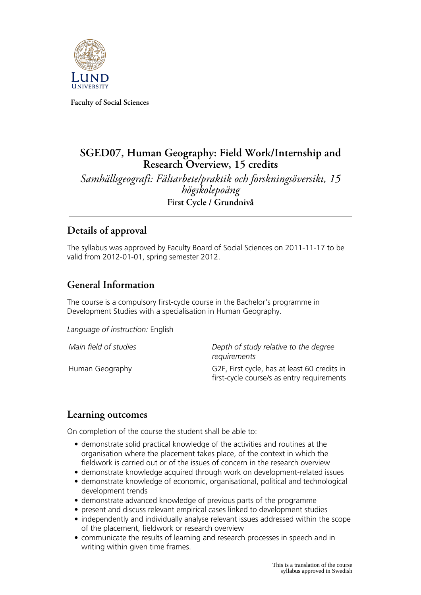

**Faculty of Social Sciences**

# **SGED07, Human Geography: Field Work/Internship and Research Overview, 15 credits**

*Samhällsgeografi: Fältarbete/praktik och forskningsöversikt, 15 högskolepoäng* **First Cycle / Grundnivå**

# **Details of approval**

The syllabus was approved by Faculty Board of Social Sciences on 2011-11-17 to be valid from 2012-01-01, spring semester 2012.

# **General Information**

The course is a compulsory first-cycle course in the Bachelor's programme in Development Studies with a specialisation in Human Geography.

*Language of instruction:* English

| Main field of studies | Depth of study relative to the degree<br>requirements                                      |
|-----------------------|--------------------------------------------------------------------------------------------|
| Human Geography       | G2F, First cycle, has at least 60 credits in<br>first-cycle course/s as entry requirements |

## **Learning outcomes**

On completion of the course the student shall be able to:

- demonstrate solid practical knowledge of the activities and routines at the organisation where the placement takes place, of the context in which the fieldwork is carried out or of the issues of concern in the research overview
- demonstrate knowledge acquired through work on development-related issues
- demonstrate knowledge of economic, organisational, political and technological development trends
- demonstrate advanced knowledge of previous parts of the programme
- present and discuss relevant empirical cases linked to development studies
- independently and individually analyse relevant issues addressed within the scope of the placement, fieldwork or research overview
- communicate the results of learning and research processes in speech and in writing within given time frames.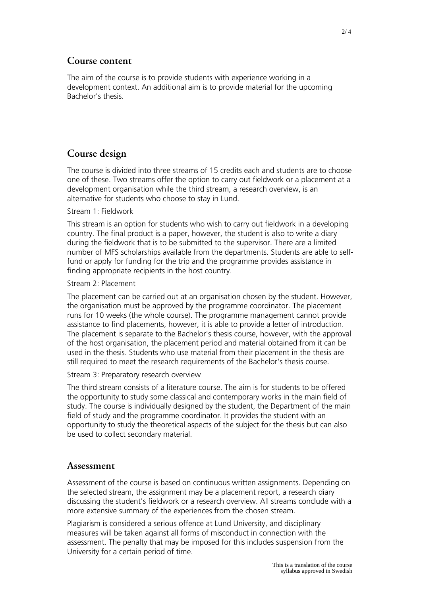## **Course content**

The aim of the course is to provide students with experience working in a development context. An additional aim is to provide material for the upcoming Bachelor's thesis.

# **Course design**

The course is divided into three streams of 15 credits each and students are to choose one of these. Two streams offer the option to carry out fieldwork or a placement at a development organisation while the third stream, a research overview, is an alternative for students who choose to stay in Lund.

#### Stream 1: Fieldwork

This stream is an option for students who wish to carry out fieldwork in a developing country. The final product is a paper, however, the student is also to write a diary during the fieldwork that is to be submitted to the supervisor. There are a limited number of MFS scholarships available from the departments. Students are able to selffund or apply for funding for the trip and the programme provides assistance in finding appropriate recipients in the host country.

Stream 2: Placement

The placement can be carried out at an organisation chosen by the student. However, the organisation must be approved by the programme coordinator. The placement runs for 10 weeks (the whole course). The programme management cannot provide assistance to find placements, however, it is able to provide a letter of introduction. The placement is separate to the Bachelor's thesis course, however, with the approval of the host organisation, the placement period and material obtained from it can be used in the thesis. Students who use material from their placement in the thesis are still required to meet the research requirements of the Bachelor's thesis course.

Stream 3: Preparatory research overview

The third stream consists of a literature course. The aim is for students to be offered the opportunity to study some classical and contemporary works in the main field of study. The course is individually designed by the student, the Department of the main field of study and the programme coordinator. It provides the student with an opportunity to study the theoretical aspects of the subject for the thesis but can also be used to collect secondary material.

## **Assessment**

Assessment of the course is based on continuous written assignments. Depending on the selected stream, the assignment may be a placement report, a research diary discussing the student's fieldwork or a research overview. All streams conclude with a more extensive summary of the experiences from the chosen stream.

Plagiarism is considered a serious offence at Lund University, and disciplinary measures will be taken against all forms of misconduct in connection with the assessment. The penalty that may be imposed for this includes suspension from the University for a certain period of time.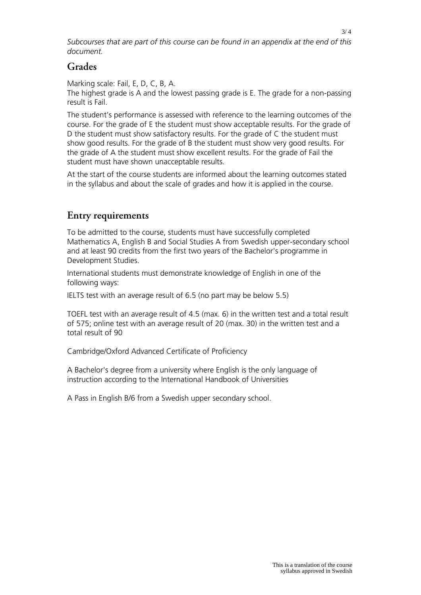*Subcourses that are part of this course can be found in an appendix at the end of this document.*

### **Grades**

Marking scale: Fail, E, D, C, B, A.

The highest grade is A and the lowest passing grade is E. The grade for a non-passing result is Fail.

The student's performance is assessed with reference to the learning outcomes of the course. For the grade of E the student must show acceptable results. For the grade of D the student must show satisfactory results. For the grade of C the student must show good results. For the grade of B the student must show very good results. For the grade of A the student must show excellent results. For the grade of Fail the student must have shown unacceptable results.

At the start of the course students are informed about the learning outcomes stated in the syllabus and about the scale of grades and how it is applied in the course.

## **Entry requirements**

To be admitted to the course, students must have successfully completed Mathematics A, English B and Social Studies A from Swedish upper-secondary school and at least 90 credits from the first two years of the Bachelor's programme in Development Studies.

International students must demonstrate knowledge of English in one of the following ways:

IELTS test with an average result of 6.5 (no part may be below 5.5)

TOEFL test with an average result of 4.5 (max. 6) in the written test and a total result of 575; online test with an average result of 20 (max. 30) in the written test and a total result of 90

Cambridge/Oxford Advanced Certificate of Proficiency

A Bachelor's degree from a university where English is the only language of instruction according to the International Handbook of Universities

A Pass in English B/6 from a Swedish upper secondary school.